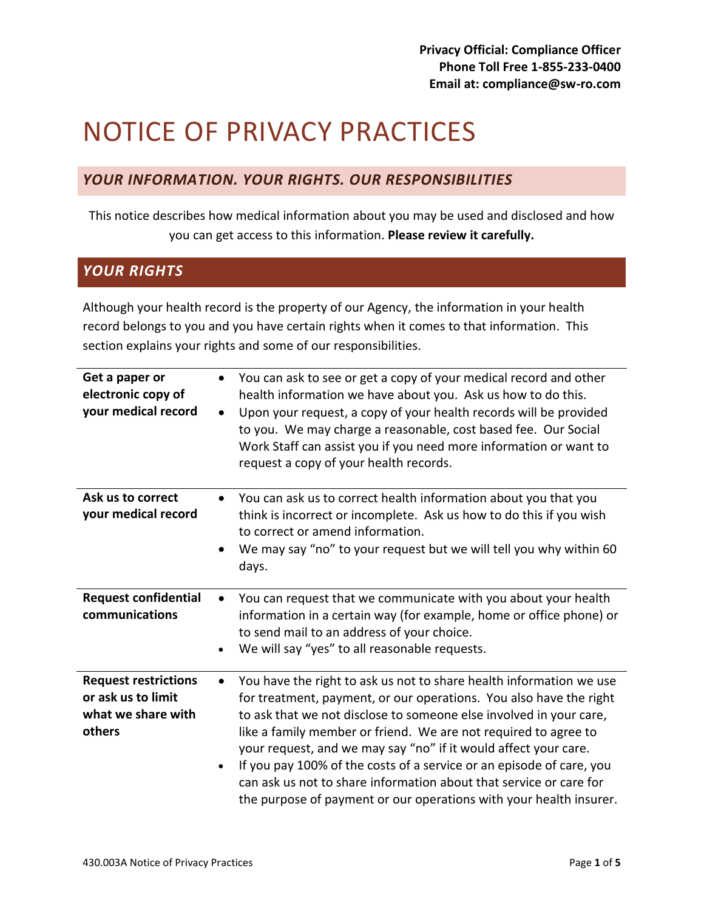# NOTICE OF PRIVACY PRACTICES

# *YOUR INFORMATION. YOUR RIGHTS. OUR RESPONSIBILITIES*

This notice describes how medical information about you may be used and disclosed and how you can get access to this information. **Please review it carefully.**

# *YOUR RIGHTS*

Although your health record is the property of our Agency, the information in your health record belongs to you and you have certain rights when it comes to that information. This section explains your rights and some of our responsibilities.

| Get a paper or<br>electronic copy of<br>your medical record                       | You can ask to see or get a copy of your medical record and other<br>health information we have about you. Ask us how to do this.<br>Upon your request, a copy of your health records will be provided<br>$\bullet$<br>to you. We may charge a reasonable, cost based fee. Our Social<br>Work Staff can assist you if you need more information or want to<br>request a copy of your health records.                                                                                                                                                                                   |
|-----------------------------------------------------------------------------------|----------------------------------------------------------------------------------------------------------------------------------------------------------------------------------------------------------------------------------------------------------------------------------------------------------------------------------------------------------------------------------------------------------------------------------------------------------------------------------------------------------------------------------------------------------------------------------------|
| Ask us to correct<br>your medical record                                          | You can ask us to correct health information about you that you<br>think is incorrect or incomplete. Ask us how to do this if you wish<br>to correct or amend information.<br>We may say "no" to your request but we will tell you why within 60<br>$\bullet$<br>days.                                                                                                                                                                                                                                                                                                                 |
| <b>Request confidential</b><br>communications                                     | You can request that we communicate with you about your health<br>$\bullet$<br>information in a certain way (for example, home or office phone) or<br>to send mail to an address of your choice.<br>We will say "yes" to all reasonable requests.<br>$\bullet$                                                                                                                                                                                                                                                                                                                         |
| <b>Request restrictions</b><br>or ask us to limit<br>what we share with<br>others | You have the right to ask us not to share health information we use<br>for treatment, payment, or our operations. You also have the right<br>to ask that we not disclose to someone else involved in your care,<br>like a family member or friend. We are not required to agree to<br>your request, and we may say "no" if it would affect your care.<br>If you pay 100% of the costs of a service or an episode of care, you<br>$\bullet$<br>can ask us not to share information about that service or care for<br>the purpose of payment or our operations with your health insurer. |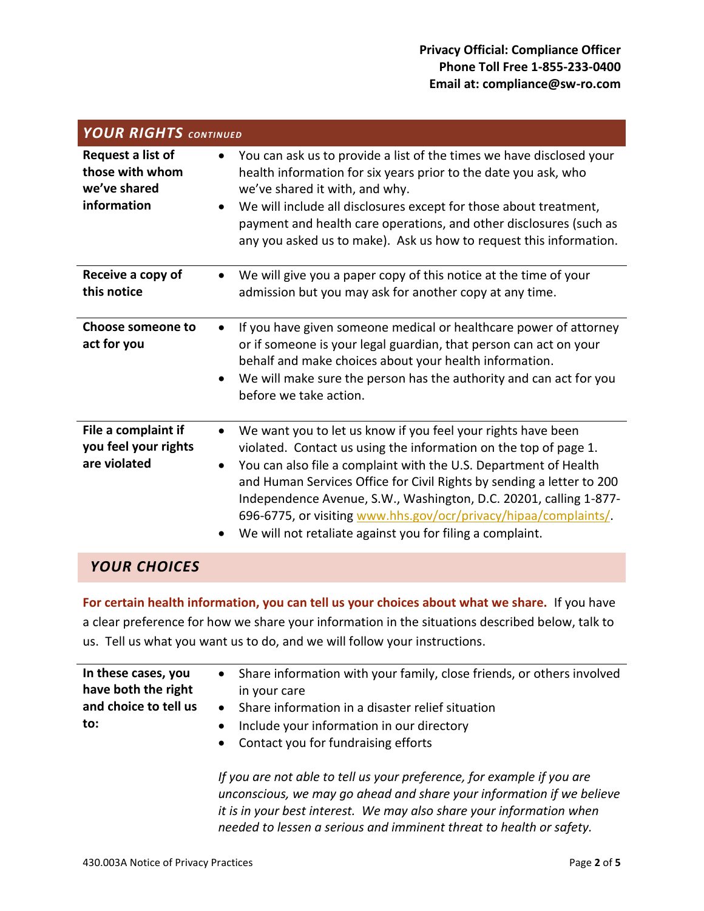| <b>YOUR RIGHTS CONTINUED</b>                                        |                                                                                                                                                                                                                                                                                                                                                                                                                                                                                                       |  |
|---------------------------------------------------------------------|-------------------------------------------------------------------------------------------------------------------------------------------------------------------------------------------------------------------------------------------------------------------------------------------------------------------------------------------------------------------------------------------------------------------------------------------------------------------------------------------------------|--|
| Request a list of<br>those with whom<br>we've shared<br>information | You can ask us to provide a list of the times we have disclosed your<br>health information for six years prior to the date you ask, who<br>we've shared it with, and why.<br>We will include all disclosures except for those about treatment,<br>$\bullet$<br>payment and health care operations, and other disclosures (such as<br>any you asked us to make). Ask us how to request this information.                                                                                               |  |
| Receive a copy of<br>this notice                                    | We will give you a paper copy of this notice at the time of your<br>$\bullet$<br>admission but you may ask for another copy at any time.                                                                                                                                                                                                                                                                                                                                                              |  |
| <b>Choose someone to</b><br>act for you                             | If you have given someone medical or healthcare power of attorney<br>$\bullet$<br>or if someone is your legal guardian, that person can act on your<br>behalf and make choices about your health information.<br>We will make sure the person has the authority and can act for you<br>$\bullet$<br>before we take action.                                                                                                                                                                            |  |
| File a complaint if<br>you feel your rights<br>are violated         | We want you to let us know if you feel your rights have been<br>٠<br>violated. Contact us using the information on the top of page 1.<br>You can also file a complaint with the U.S. Department of Health<br>$\bullet$<br>and Human Services Office for Civil Rights by sending a letter to 200<br>Independence Avenue, S.W., Washington, D.C. 20201, calling 1-877-<br>696-6775, or visiting www.hhs.gov/ocr/privacy/hipaa/complaints/.<br>We will not retaliate against you for filing a complaint. |  |

## *YOUR CHOICES*

**For certain health information, you can tell us your choices about what we share.** If you have a clear preference for how we share your information in the situations described below, talk to us. Tell us what you want us to do, and we will follow your instructions.

| In these cases, you<br>have both the right<br>and choice to tell us<br>to: | Share information with your family, close friends, or others involved<br>$\bullet$<br>in your care<br>Share information in a disaster relief situation<br>$\bullet$<br>Include your information in our directory<br>$\bullet$<br>Contact you for fundraising efforts<br>$\bullet$ |  |
|----------------------------------------------------------------------------|-----------------------------------------------------------------------------------------------------------------------------------------------------------------------------------------------------------------------------------------------------------------------------------|--|
|                                                                            | If you are not able to tell us your preference, for example if you are<br>unconscious, we may go ahead and share your information if we believe<br>it is in your best interest. We may also share your information when                                                           |  |
|                                                                            | needed to lessen a serious and imminent threat to health or safety.                                                                                                                                                                                                               |  |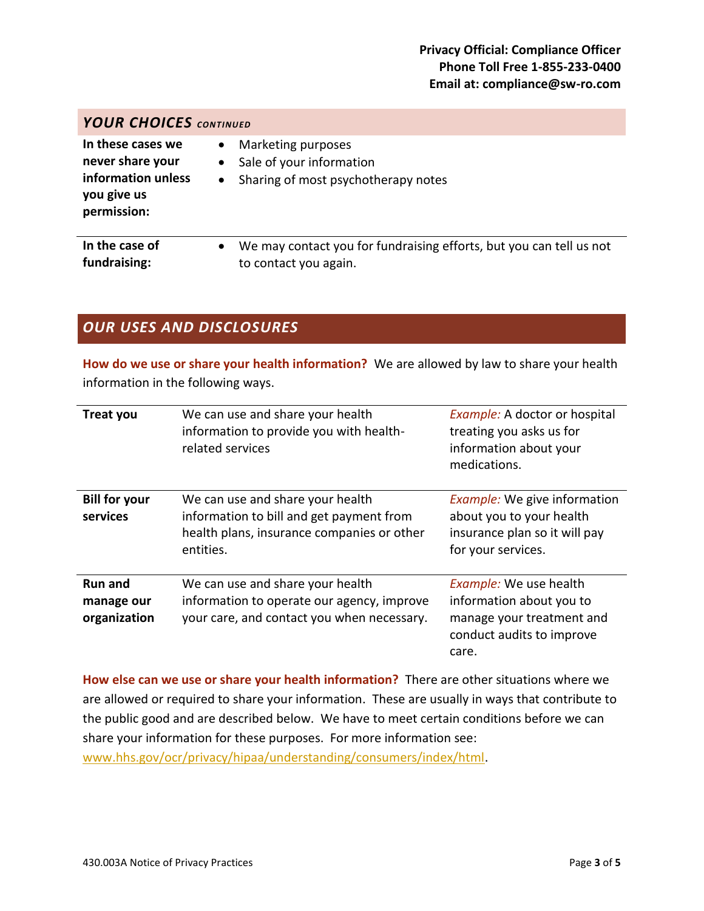| <b>YOUR CHOICES CONTINUED</b>                                                             |                                                                                                                              |  |  |  |
|-------------------------------------------------------------------------------------------|------------------------------------------------------------------------------------------------------------------------------|--|--|--|
| In these cases we<br>never share your<br>information unless<br>you give us<br>permission: | Marketing purposes<br>$\bullet$<br>Sale of your information<br>$\bullet$<br>Sharing of most psychotherapy notes<br>$\bullet$ |  |  |  |
| In the case of<br>fundraising:                                                            | We may contact you for fundraising efforts, but you can tell us not<br>$\bullet$<br>to contact you again.                    |  |  |  |

# *OUR USES AND DISCLOSURES*

**How do we use or share your health information?** We are allowed by law to share your health information in the following ways.

| <b>Treat you</b>                             | We can use and share your health<br>information to provide you with health-<br>related services                                         | Example: A doctor or hospital<br>treating you asks us for<br>information about your<br>medications.                          |
|----------------------------------------------|-----------------------------------------------------------------------------------------------------------------------------------------|------------------------------------------------------------------------------------------------------------------------------|
| <b>Bill for your</b><br>services             | We can use and share your health<br>information to bill and get payment from<br>health plans, insurance companies or other<br>entities. | <i>Example:</i> We give information<br>about you to your health<br>insurance plan so it will pay<br>for your services.       |
| <b>Run and</b><br>manage our<br>organization | We can use and share your health<br>information to operate our agency, improve<br>your care, and contact you when necessary.            | <b>Example:</b> We use health<br>information about you to<br>manage your treatment and<br>conduct audits to improve<br>care. |

**How else can we use or share your health information?** There are other situations where we are allowed or required to share your information. These are usually in ways that contribute to the public good and are described below. We have to meet certain conditions before we can share your information for these purposes. For more information see: [www.hhs.gov/ocr/privacy/hipaa/understanding/consumers/index/html.](http://www.hhs.gov/ocr/privacy/hipaa/understanding/consumers/index/html)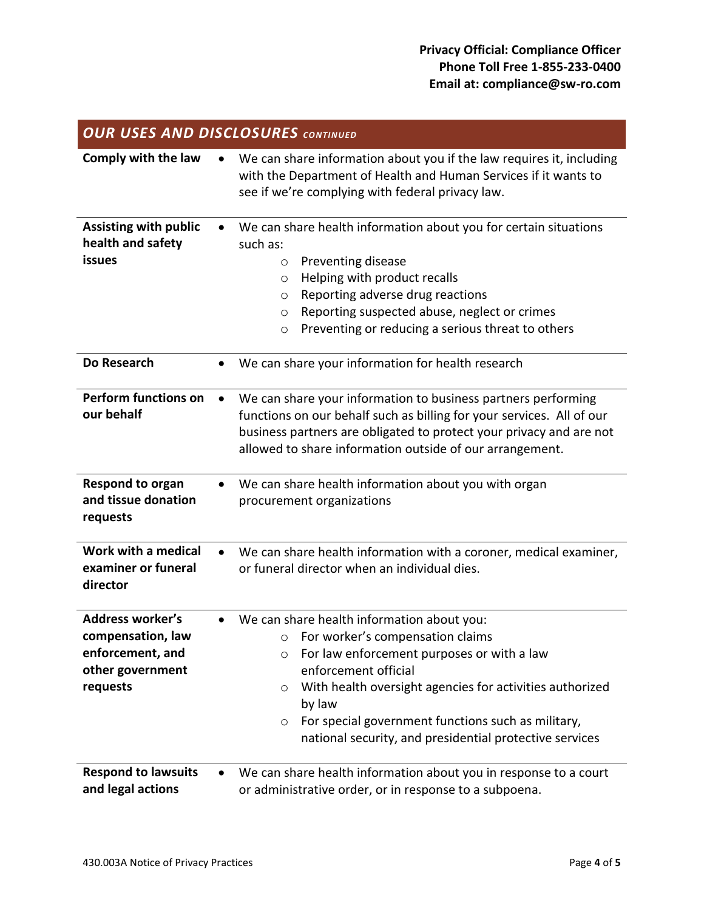| <b>OUR USES AND DISCLOSURES CONTINUED</b>                                                        |                                                                                                                                                                                                                                                                                                                                                                                      |  |
|--------------------------------------------------------------------------------------------------|--------------------------------------------------------------------------------------------------------------------------------------------------------------------------------------------------------------------------------------------------------------------------------------------------------------------------------------------------------------------------------------|--|
| Comply with the law                                                                              | We can share information about you if the law requires it, including<br>with the Department of Health and Human Services if it wants to<br>see if we're complying with federal privacy law.                                                                                                                                                                                          |  |
| <b>Assisting with public</b><br>health and safety<br>issues                                      | We can share health information about you for certain situations<br>such as:<br>Preventing disease<br>$\circ$<br>Helping with product recalls<br>$\circ$<br>Reporting adverse drug reactions<br>$\circ$<br>Reporting suspected abuse, neglect or crimes<br>$\circ$<br>Preventing or reducing a serious threat to others<br>$\circlearrowright$                                       |  |
| Do Research                                                                                      | We can share your information for health research                                                                                                                                                                                                                                                                                                                                    |  |
| <b>Perform functions on</b><br>our behalf                                                        | We can share your information to business partners performing<br>$\bullet$<br>functions on our behalf such as billing for your services. All of our<br>business partners are obligated to protect your privacy and are not<br>allowed to share information outside of our arrangement.                                                                                               |  |
| Respond to organ<br>and tissue donation<br>requests                                              | We can share health information about you with organ<br>procurement organizations                                                                                                                                                                                                                                                                                                    |  |
| Work with a medical<br>examiner or funeral<br>director                                           | We can share health information with a coroner, medical examiner,<br>or funeral director when an individual dies.                                                                                                                                                                                                                                                                    |  |
| <b>Address worker's</b><br>compensation, law<br>enforcement, and<br>other government<br>requests | We can share health information about you:<br>$\circ$ For worker's compensation claims<br>For law enforcement purposes or with a law<br>$\circ$<br>enforcement official<br>With health oversight agencies for activities authorized<br>$\circ$<br>by law<br>For special government functions such as military,<br>$\circ$<br>national security, and presidential protective services |  |
| <b>Respond to lawsuits</b><br>and legal actions                                                  | We can share health information about you in response to a court<br>$\bullet$<br>or administrative order, or in response to a subpoena.                                                                                                                                                                                                                                              |  |